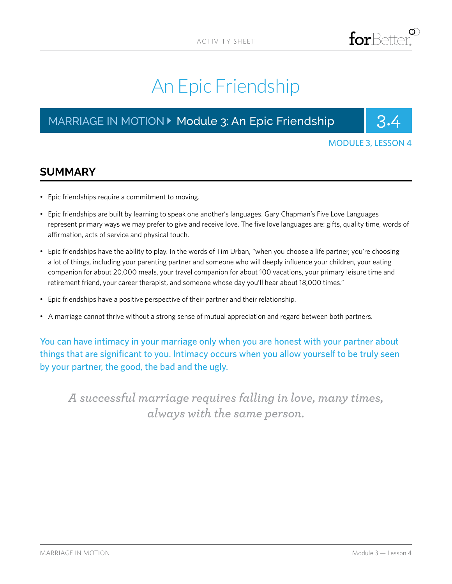# An Epic Friendship

## MARRIAGE IN MOTION ▶ Module 3: An Epic Friendship | 3.4



MODULE 3, LESSON 4

### **SUMMARY**

- Epic friendships require a commitment to moving.
- Epic friendships are built by learning to speak one another's languages. Gary Chapman's Five Love Languages represent primary ways we may prefer to give and receive love. The five love languages are: gifts, quality time, words of affirmation, acts of service and physical touch.
- Epic friendships have the ability to play. In the words of Tim Urban, "when you choose a life partner, you're choosing a lot of things, including your parenting partner and someone who will deeply influence your children, your eating companion for about 20,000 meals, your travel companion for about 100 vacations, your primary leisure time and retirement friend, your career therapist, and someone whose day you'll hear about 18,000 times."
- Epic friendships have a positive perspective of their partner and their relationship.
- A marriage cannot thrive without a strong sense of mutual appreciation and regard between both partners.

You can have intimacy in your marriage only when you are honest with your partner about things that are significant to you. Intimacy occurs when you allow yourself to be truly seen by your partner, the good, the bad and the ugly.

*A successful marriage requires falling in love, many times, always with the same person.*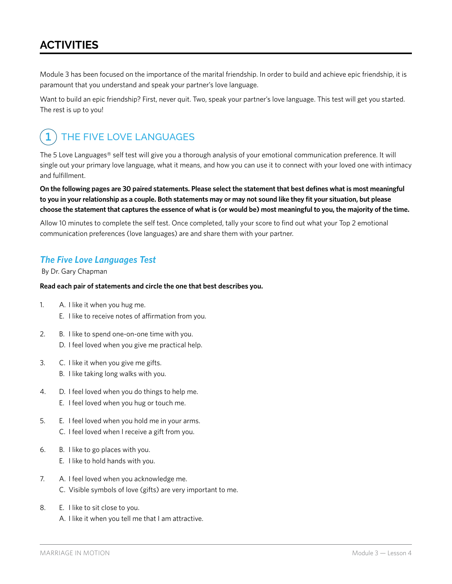### **ACTIVITIES**

Module 3 has been focused on the importance of the marital friendship. In order to build and achieve epic friendship, it is paramount that you understand and speak your partner's love language.

Want to build an epic friendship? First, never quit. Two, speak your partner's love language. This test will get you started. The rest is up to you!

#### THE FIVE LOVE LANGUAGES **1**

The 5 Love Languages® self test will give you a thorough analysis of your emotional communication preference. It will single out your primary love language, what it means, and how you can use it to connect with your loved one with intimacy and fulfillment.

**On the following pages are 30 paired statements. Please select the statement that best defines what is most meaningful to you in your relationship as a couple. Both statements may or may not sound like they fit your situation, but please choose the statement that captures the essence of what is (or would be) most meaningful to you, the majority of the time.**

Allow 10 minutes to complete the self test. Once completed, tally your score to find out what your Top 2 emotional communication preferences (love languages) are and share them with your partner.

### *The Five Love Languages Test*

By Dr. Gary Chapman

#### **Read each pair of statements and circle the one that best describes you.**

- 1. A. I like it when you hug me. E. I like to receive notes of affirmation from you.
- 2. B. I like to spend one-on-one time with you. D. I feel loved when you give me practical help.
- 3. C. I like it when you give me gifts.
	- B. I like taking long walks with you.
- 4. D. I feel loved when you do things to help me. E. I feel loved when you hug or touch me.
- 5. E. I feel loved when you hold me in your arms. C. I feel loved when I receive a gift from you.
- 6. B. I like to go places with you.
	- E. I like to hold hands with you.
- 7. A. I feel loved when you acknowledge me. C. Visible symbols of love (gifts) are very important to me.
- 8. E. I like to sit close to you. A. I like it when you tell me that I am attractive.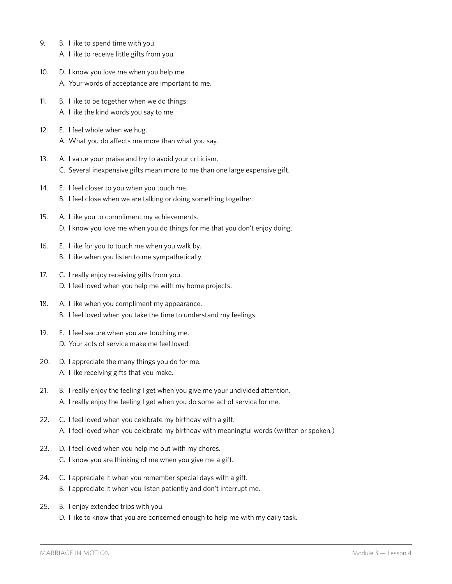- 9. B. I like to spend time with you. A. I like to receive little gifts from you.
- 10. D. I know you love me when you help me. A. Your words of acceptance are important to me.
- 11. B. I like to be together when we do things. A. I like the kind words you say to me.
- 12. E. I feel whole when we hug. A. What you do affects me more than what you say.
- 13. A. I value your praise and try to avoid your criticism. C. Several inexpensive gifts mean more to me than one large expensive gift.
- 14. E. I feel closer to you when you touch me. B. I feel close when we are talking or doing something together.
- 15. A. I like you to compliment my achievements. D. I know you love me when you do things for me that you don't enjoy doing.
- 16. E. I like for you to touch me when you walk by. B. I like when you listen to me sympathetically.
- 17. C. I really enjoy receiving gifts from you. D. I feel loved when you help me with my home projects.
- 18. A. I like when you compliment my appearance. B. I feel loved when you take the time to understand my feelings.
- 19. E. I feel secure when you are touching me. D. Your acts of service make me feel loved.
- 20. D. I appreciate the many things you do for me. A. I like receiving gifts that you make.
- 21. B. I really enjoy the feeling I get when you give me your undivided attention. A. I really enjoy the feeling I get when you do some act of service for me.
- 22. C. I feel loved when you celebrate my birthday with a gift. A. I feel loved when you celebrate my birthday with meaningful words (written or spoken.)
- 23. D. I feel loved when you help me out with my chores. C. I know you are thinking of me when you give me a gift.
- 24. C. I appreciate it when you remember special days with a gift. B. I appreciate it when you listen patiently and don't interrupt me.
- 25. B. I enjoy extended trips with you.
	- D. I like to know that you are concerned enough to help me with my daily task.